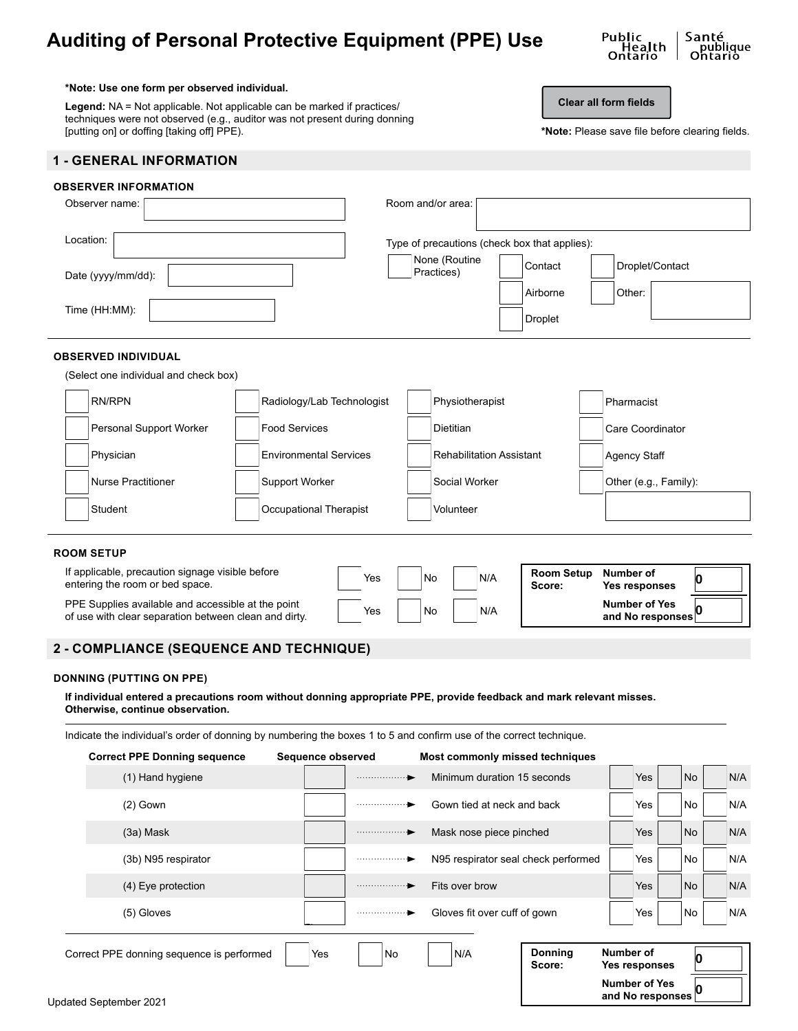# **Auditing of Personal Protective Equipment (PPE) Use**



### **\*Note: Use one form per observed individual.**

**Legend:** NA = Not applicable. Not applicable can be marked if practices/ techniques were not observed (e.g., auditor was not present during donning [putting on] or doffing [taking off] PPE). **\*Note:** Please save file before clearing fields.

# **Clear all form fields**

**Number of Yes and No responses**

**0**

# **1 - GENERAL INFORMATION**

#### **OBSERVER INFORMATION**

| Observer name:                        | Room and/or area:                                              |
|---------------------------------------|----------------------------------------------------------------|
| Location:                             | Type of precautions (check box that applies):<br>None (Routine |
| Date (yyyy/mm/dd):                    | Droplet/Contact<br>Contact<br>Practices)<br>Airborne<br>Other: |
| Time (HH:MM):                         | Droplet                                                        |
| <b>OBSERVED INDIVIDUAL</b>            |                                                                |
| (Select one individual and check box) |                                                                |
|                                       |                                                                |

|                   | RN/RPN                                                                                                                                                               | Radiology/Lab Technologist    | Physiotherapist                 |  | Pharmacist            |  |  |
|-------------------|----------------------------------------------------------------------------------------------------------------------------------------------------------------------|-------------------------------|---------------------------------|--|-----------------------|--|--|
|                   | Personal Support Worker                                                                                                                                              | <b>Food Services</b>          | <b>Dietitian</b>                |  | Care Coordinator      |  |  |
|                   | Physician                                                                                                                                                            | <b>Environmental Services</b> | <b>Rehabilitation Assistant</b> |  | Agency Staff          |  |  |
|                   | <b>Nurse Practitioner</b>                                                                                                                                            | <b>Support Worker</b>         | Social Worker                   |  | Other (e.g., Family): |  |  |
|                   | Student                                                                                                                                                              | Occupational Therapist        | Volunteer                       |  |                       |  |  |
| <b>ROOM SETUP</b> |                                                                                                                                                                      |                               |                                 |  |                       |  |  |
|                   | If applicable, precaution signage visible before<br><b>Room Setup</b><br>Number of<br>N/A<br>Yes<br>No<br>entering the room or bed space.<br>Score:<br>Yes responses |                               |                                 |  |                       |  |  |

PPE Supplies available and accessible at the point PPE supplies available and accessible at the point<br>of use with clear separation between clean and dirty. No No N/A

# **2 - COMPLIANCE (SEQUENCE AND TECHNIQUE)**

## **DONNING (PUTTING ON PPE)**

**If individual entered a precautions room without donning appropriate PPE, provide feedback and mark relevant misses. Otherwise, continue observation.**

Indicate the individual's order of donning by numbering the boxes 1 to 5 and confirm use of the correct technique.

| <b>Correct PPE Donning sequence</b><br>Sequence observed |                                           |     | Most commonly missed techniques |                                     |                          |                                          |           |     |
|----------------------------------------------------------|-------------------------------------------|-----|---------------------------------|-------------------------------------|--------------------------|------------------------------------------|-----------|-----|
|                                                          | (1) Hand hygiene                          |     |                                 | Minimum duration 15 seconds         |                          | Yes                                      | <b>No</b> | N/A |
|                                                          | $(2)$ Gown                                |     |                                 | Gown tied at neck and back          |                          | Yes                                      | No        | N/A |
|                                                          | (3a) Mask                                 |     |                                 | Mask nose piece pinched             |                          | <b>Yes</b>                               | <b>No</b> | N/A |
|                                                          | (3b) N95 respirator                       |     |                                 | N95 respirator seal check performed |                          | Yes                                      | No        | N/A |
|                                                          | (4) Eye protection                        |     |                                 | Fits over brow                      |                          | Yes                                      | <b>No</b> | N/A |
|                                                          | (5) Gloves                                |     |                                 | Gloves fit over cuff of gown        |                          | Yes                                      | No        | N/A |
|                                                          | Correct PPE donning sequence is performed | Yes | No                              | N/A                                 | <b>Donning</b><br>Score: | Number of<br>Yes responses               |           |     |
|                                                          | Updated September 2021                    |     |                                 |                                     |                          | <b>Number of Yes</b><br>and No responses |           |     |